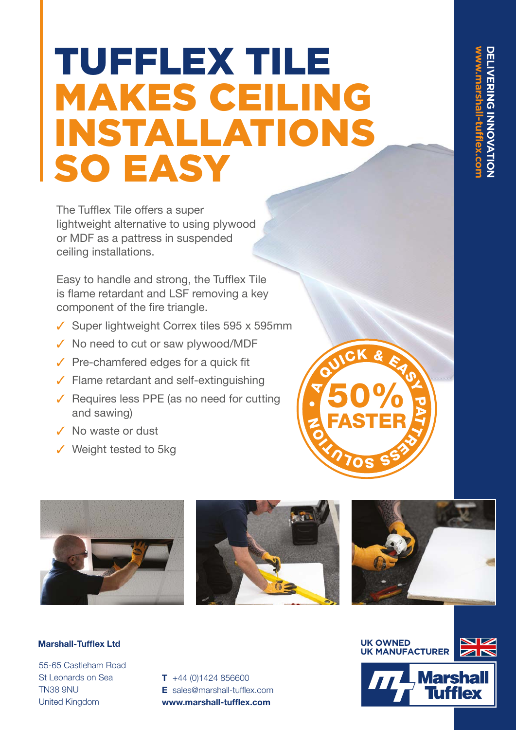# TUFFLEX TILE MAKES CEILING STALLATIONS SO EASY

The Tufflex Tile offers a super lightweight alternative to using plywood or MDF as a pattress in suspended ceiling installations.

Easy to handle and strong, the Tufflex Tile is flame retardant and LSF removing a key component of the fire triangle.

- $\checkmark$  Super lightweight Correx tiles 595 x 595mm
- $\checkmark$  No need to cut or saw plywood/MDF
- $\checkmark$  Pre-chamfered edges for a quick fit
- $\checkmark$  Flame retardant and self-extinguishing
- $\checkmark$  Requires less PPE (as no need for cutting and sawing)
- $\checkmark$  No waste or dust
- $\checkmark$  Weight tested to 5kg



•

 $\blacktriangledown$ 

**K** O)  $\boldsymbol{z}$ 

QUICK & EASY

50%

FASTER

**270S S** 

O<br>RAND<br>Sixty

## **Marshall-Tufflex Ltd**

55-65 Castleham Road St Leonards on Sea TN38 9NU United Kingdom

**T** +44 (0)1424 856600 **E** sales@marshall-tufflex.com **www.marshall-tufflex.com**

**UK OWNED UK MANUFACTURER**